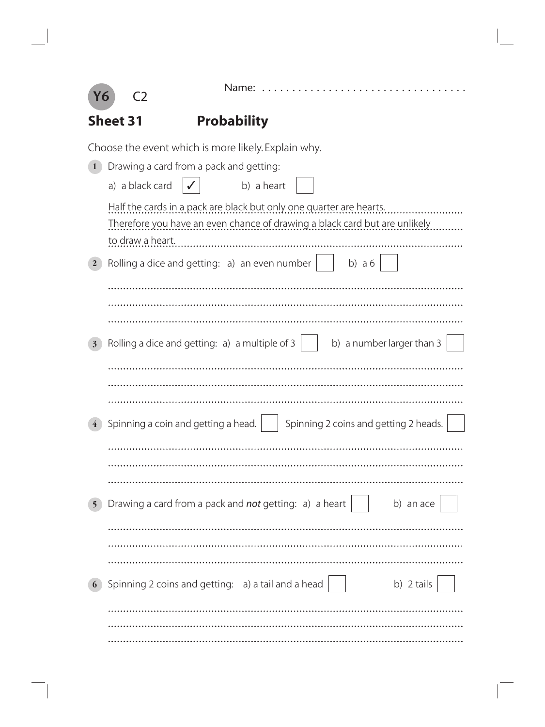

Name: . . . . . . . . . . . . . . . . . . . . . . . . . . . . . . . . . .

|                       | <b>Probability</b><br><b>Sheet 31</b>                                                                                                                                 |                                       |  |  |  |  |  |
|-----------------------|-----------------------------------------------------------------------------------------------------------------------------------------------------------------------|---------------------------------------|--|--|--|--|--|
|                       | Choose the event which is more likely. Explain why.                                                                                                                   |                                       |  |  |  |  |  |
|                       | Drawing a card from a pack and getting:                                                                                                                               |                                       |  |  |  |  |  |
|                       | a) a black card<br>b) a heart                                                                                                                                         |                                       |  |  |  |  |  |
|                       | Half the cards in a pack are black but only one quarter are hearts.<br>Therefore you have an even chance of drawing a black card but are unlikely<br>to draw a heart. |                                       |  |  |  |  |  |
| $\mathbf{2}$          | Rolling a dice and getting: a) an even number                                                                                                                         | b) $a 6$                              |  |  |  |  |  |
|                       |                                                                                                                                                                       |                                       |  |  |  |  |  |
|                       |                                                                                                                                                                       |                                       |  |  |  |  |  |
|                       |                                                                                                                                                                       |                                       |  |  |  |  |  |
| 3                     | Rolling a dice and getting: a) a multiple of 3                                                                                                                        | b) a number larger than 3             |  |  |  |  |  |
|                       |                                                                                                                                                                       |                                       |  |  |  |  |  |
|                       |                                                                                                                                                                       |                                       |  |  |  |  |  |
|                       |                                                                                                                                                                       |                                       |  |  |  |  |  |
|                       | Spinning a coin and getting a head.                                                                                                                                   | Spinning 2 coins and getting 2 heads. |  |  |  |  |  |
|                       |                                                                                                                                                                       |                                       |  |  |  |  |  |
|                       |                                                                                                                                                                       |                                       |  |  |  |  |  |
|                       |                                                                                                                                                                       |                                       |  |  |  |  |  |
| 5                     | Drawing a card from a pack and not getting: a) a heart                                                                                                                | b) an ace                             |  |  |  |  |  |
|                       |                                                                                                                                                                       |                                       |  |  |  |  |  |
|                       |                                                                                                                                                                       |                                       |  |  |  |  |  |
| $\boldsymbol{\theta}$ | Spinning 2 coins and getting: a) a tail and a head                                                                                                                    | b) 2 tails                            |  |  |  |  |  |
|                       |                                                                                                                                                                       |                                       |  |  |  |  |  |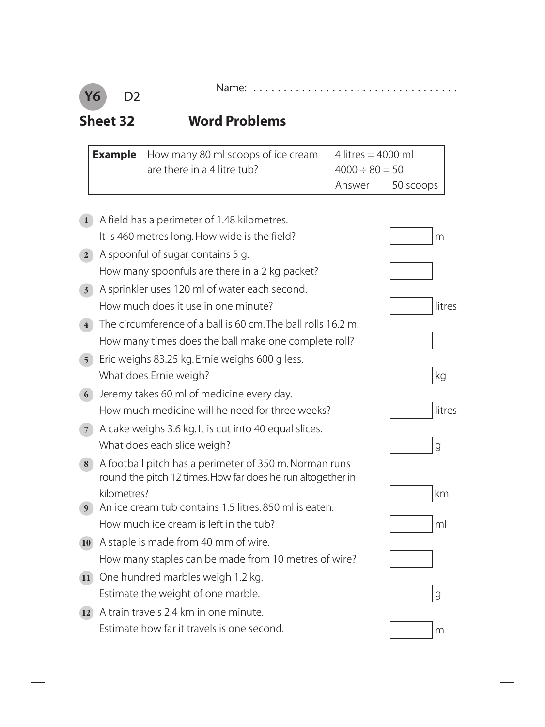

**Sheet 32 Word Problems**

|                | <b>Example</b> | How many 80 ml scoops of ice cream<br>are there in a 4 litre tub? | 4 litres = $4000$ ml<br>$4000 \div 80 = 50$ |           |
|----------------|----------------|-------------------------------------------------------------------|---------------------------------------------|-----------|
|                |                |                                                                   | Answer                                      | 50 scoops |
|                |                |                                                                   |                                             |           |
|                |                | A field has a perimeter of 1.48 kilometres.                       |                                             |           |
|                |                | It is 460 metres long. How wide is the field?                     |                                             | m         |
| $\overline{2}$ |                | A spoonful of sugar contains 5 g.                                 |                                             |           |
|                |                | How many spoonfuls are there in a 2 kg packet?                    |                                             |           |
| 3 <sup>1</sup> |                | A sprinkler uses 120 ml of water each second.                     |                                             |           |
|                |                | How much does it use in one minute?                               |                                             | litres    |
| $\overline{4}$ |                | The circumference of a ball is 60 cm. The ball rolls 16.2 m.      |                                             |           |

#### **5** Eric weighs 83.25 kg. Ernie weighs 600 g less. What does Ernie weigh? kg and the state of the state of the state of the state of the state of the state of the state of the state of the state of the state of the state of the state of the state of the state of the state

**6** Jeremy takes 60 ml of medicine every day. How much medicine will he need for three weeks? littres

How many times does the ball make one complete roll?

**7** A cake weighs 3.6 kg. It is cut into 40 equal slices. What does each slice weigh? go a good what does each slice weigh?

#### **8** A football pitch has a perimeter of 350 m. Norman runs round the pitch 12 times. How far does he run altogether in kilometres? kilometres?

- **9** An ice cream tub contains 1.5 litres. 850 ml is eaten. How much ice cream is left in the tub?  $\lvert \cdot \cdot \cdot \cdot \rvert$  and  $\lvert \cdot \cdot \cdot \rvert$  and  $\lvert \cdot \cdot \rvert$
- **10** A staple is made from 40 mm of wire. How many staples can be made from 10 metres of wire?
- **11** One hundred marbles weigh 1.2 kg. Estimate the weight of one marble. The state of the state of g
- **12** A train travels 2.4 km in one minute. Estimate how far it travels is one second.  $\mathbb{R}^m$

















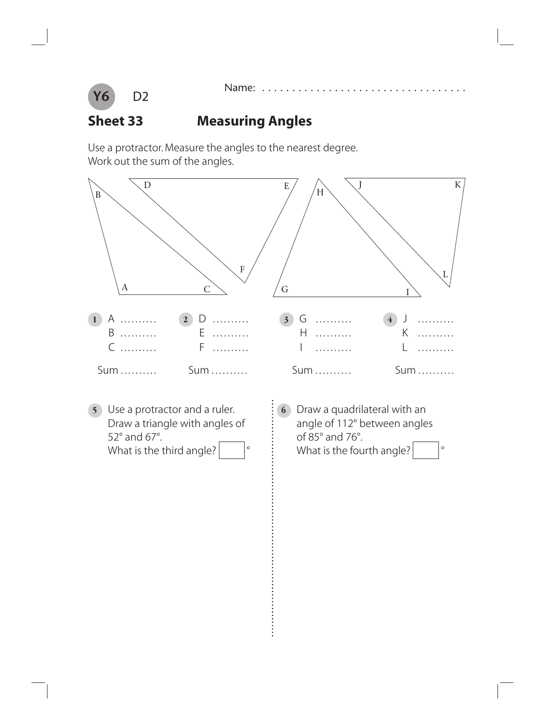



### **Sheet 33 Measuring Angles**

Use a protractor. Measure the angles to the nearest degree. Work out the sum of the angles.

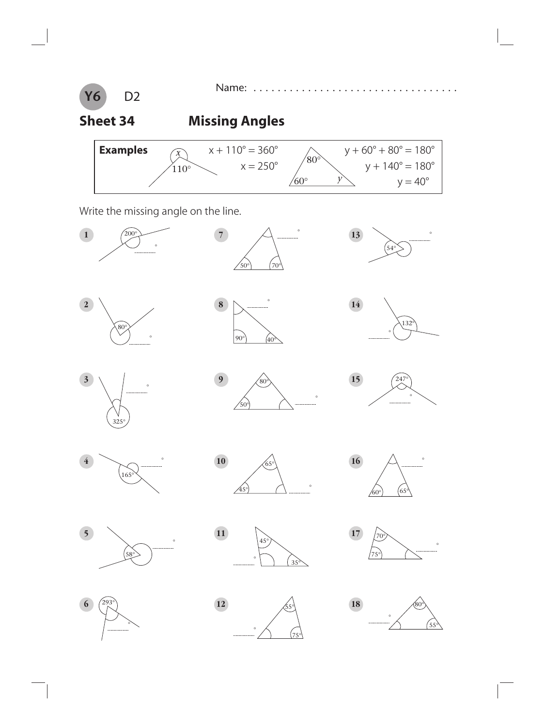

Name: . . . . . . . . . . . . . . . . . . . . . . . . . . . . . . . . . .

## **Sheet 34 Missing Angles**

| <b>Examples</b> | $\lambda$       | $x + 110^{\circ} = 360^{\circ}$ |              | $y + 60^{\circ} + 80^{\circ} = 180^{\circ}$ |
|-----------------|-----------------|---------------------------------|--------------|---------------------------------------------|
|                 | 10 <sup>o</sup> | $x = 250^{\circ}$               | $80^{\circ}$ | $v + 140^{\circ} = 180^{\circ}$             |
|                 |                 |                                 | $60^\circ$   | $v = 40^{\circ}$                            |

Write the missing angle on the line.

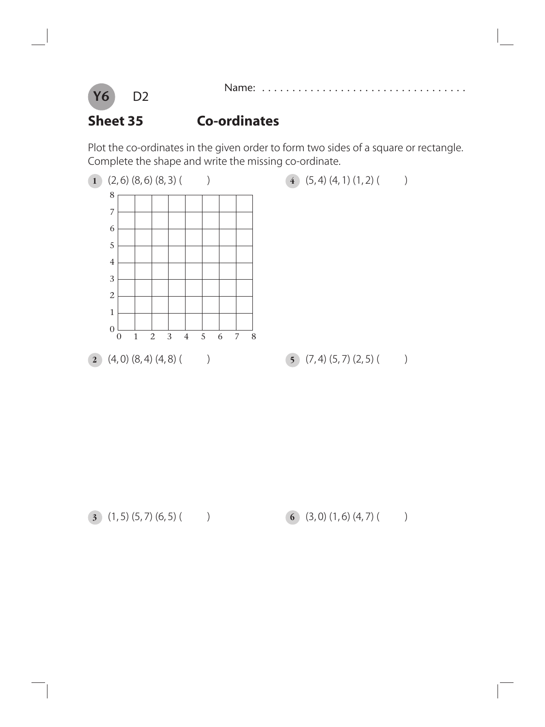

#### **Sheet 35 Co-ordinates**

Plot the co-ordinates in the given order to form two sides of a square or rectangle. Complete the shape and write the missing co-ordinate.

Name: . . . . . . . . . . . . . . . .



(1, 5) (5, 7) (6, 5) ( ) **6** (3, 0) (1, 6) (4, 7) ( )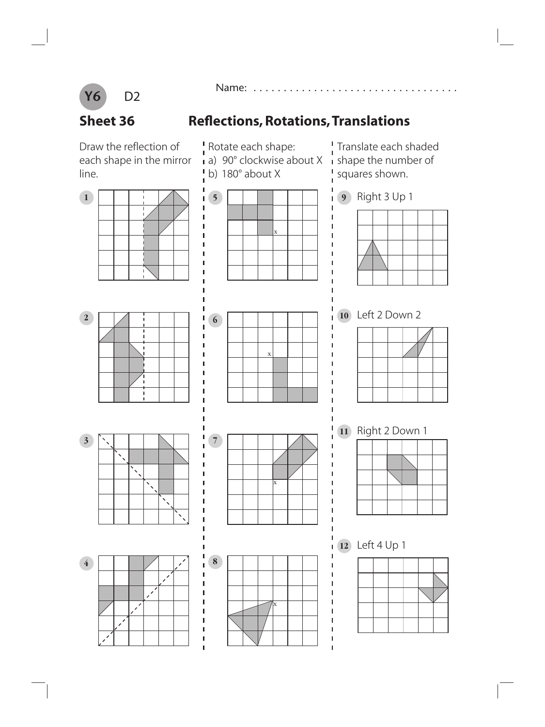

Name: . . . . . . . . . . . . . . . . . . . . . . . . . . . . . . . . . .

Rotate each shape:

b) 180° about X

# **Sheet 36** Reflections, Rotations, Translations

 $\mathbf I$ 

 $\mathbf{I}$ 

П

I

П

 $\blacksquare$ 

 $\blacksquare$ 

Т

Т

П

Т

Т

Т

П

 $\mathbf{I}$  $\blacksquare$ 

Draw the reflection of each shape in the mirror line.



! Translate each shaded a) 90 $^{\circ}$  clockwise about X  $\,$  shape the number of squares shown. I





**10** Left 2 Down 2







**<sup>12</sup>** Left 4 Up 1

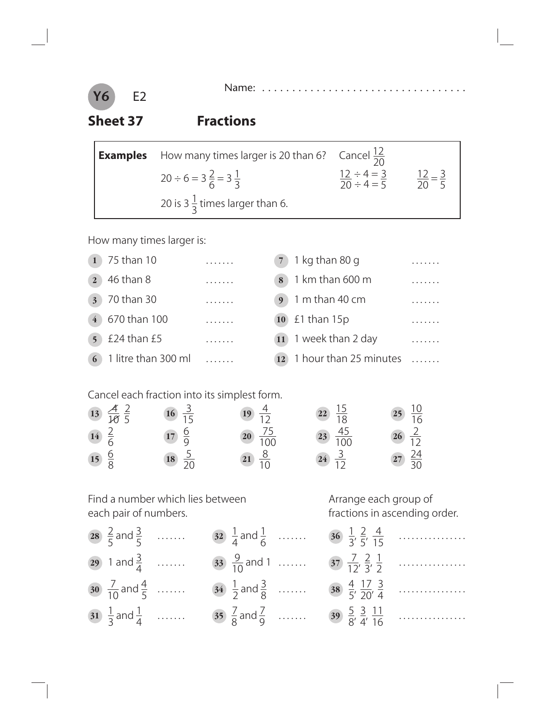

E2

### **Sheet 37 Fractions**

| <b>Examples</b> How many times larger is 20 than 6? Cancel $\frac{12}{20}$ |                                                                     |  |
|----------------------------------------------------------------------------|---------------------------------------------------------------------|--|
| $20 \div 6 = 3\frac{2}{6} = 3\frac{1}{3}$                                  | $\frac{12 \div 4 = 3}{20 \div 4 = 5}$ $\frac{12}{20} = \frac{3}{5}$ |  |
| 20 is 3 $\frac{1}{3}$ times larger than 6.                                 |                                                                     |  |

How many times larger is:

| 75 than 10                     | . | $7$ 1 kg than 80 g             |  |
|--------------------------------|---|--------------------------------|--|
| 46 than 8<br>$\overline{2}$    | . | $\frac{1}{8}$ 1 km than 600 m  |  |
| 70 than 30<br>3 <sup>1</sup>   | . | $9$ 1 m than 40 cm             |  |
| 670 than 100<br>$\overline{4}$ | . | $10$ £1 than 15p               |  |
| £24 than £5<br>5 <sup>1</sup>  | . | $\boxed{11}$ 1 week than 2 day |  |
| 1 litre than 300 ml            |   | 1 hour than 25 minutes         |  |

Cancel each fraction into its simplest form.

| 13 $\frac{\cancel{4}}{\cancel{10}} \frac{2}{5}$ | $\frac{3}{15}$   | 19 $\frac{4}{12}$ | $\begin{array}{r} 22 \\ 18 \end{array}$  | 25 $\frac{10}{16}$                      |
|-------------------------------------------------|------------------|-------------------|------------------------------------------|-----------------------------------------|
| $14 \frac{2}{6}$                                | $17 \frac{6}{9}$ | $\frac{75}{100}$  | $\begin{array}{r} 23 \\ 100 \end{array}$ | $26\frac{2}{12}$                        |
| $15\frac{6}{8}$                                 | $\frac{5}{20}$   | 21 $\frac{8}{10}$ | $24\frac{3}{12}$                         | $\begin{array}{r} 27 \\ 30 \end{array}$ |

Find a number which lies between Arrange each group of each pair of numbers.<br>
Arrange each pair of numbers.<br>
Arrange each group of

| 28 $\frac{2}{5}$ and $\frac{3}{5}$  | 32 $\frac{1}{4}$ and $\frac{1}{6}$ | $36\frac{1}{3}$  |
|-------------------------------------|------------------------------------|------------------|
| 29 1 and $\frac{3}{4}$              | 33 $\frac{9}{10}$ and 1            | $rac{7}{12}$     |
| 30 $\frac{7}{10}$ and $\frac{4}{5}$ | $34\frac{1}{2}$ and $\frac{3}{8}$  | 38 $\frac{4}{5}$ |
| 31 $\frac{1}{3}$ and $\frac{1}{4}$  | 35 $\frac{7}{8}$ and $\frac{7}{9}$ | 39 $\frac{5}{8}$ |

fractions in ascending order.

| 36 $\frac{1}{3}$ , $\frac{2}{5}$ , $\frac{4}{15}$  |  |
|----------------------------------------------------|--|
| 37 $\frac{7}{12}$ , $\frac{2}{3}$ , $\frac{1}{2}$  |  |
| 38 $\frac{4}{5}$ , $\frac{17}{20}$ , $\frac{3}{4}$ |  |
| 39 $\frac{5}{8}$ $\frac{3}{4}$ $\frac{11}{16}$     |  |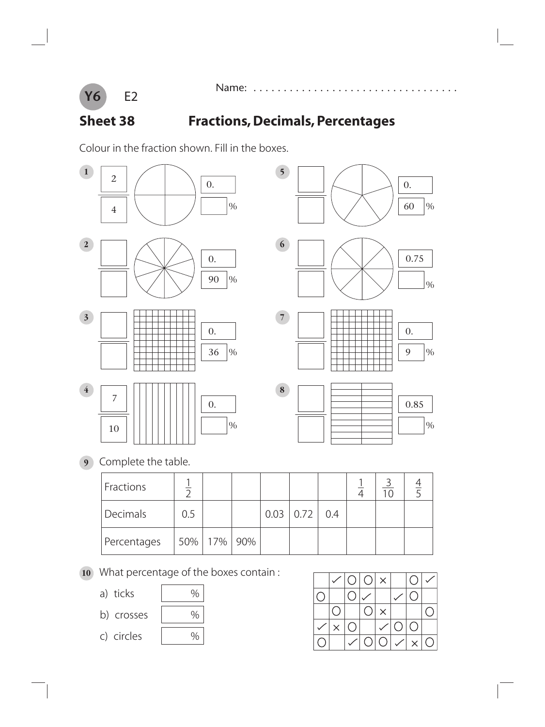

# **Sheet 38 Fractions, Decimals, Percentages**

Name: . . . . . . . .

Colour in the fraction shown. Fill in the boxes.



**9** Complete the table.

| Fractions   |     |           |     |                  |     |  |  |
|-------------|-----|-----------|-----|------------------|-----|--|--|
| Decimals    | 0.5 |           |     | $0.03 \mid 0.72$ | 0.4 |  |  |
| Percentages |     | 50%   17% | 90% |                  |     |  |  |

- **10** What percentage of the boxes contain :
	- a) ticks | %
	- b) crosses | %
		-
	- c) circles %
- 

|  |            | $O O  \times  $ |          |                | $\bigcirc$         |            |
|--|------------|-----------------|----------|----------------|--------------------|------------|
|  |            |                 |          |                |                    |            |
|  |            | $\left(\right)$ | $\times$ |                |                    |            |
|  | $\bigcirc$ |                 |          | $\overline{O}$ | ◯                  |            |
|  |            | $\bigcirc$      | O.       |                | $\bar{\mathsf{X}}$ | $\bigcirc$ |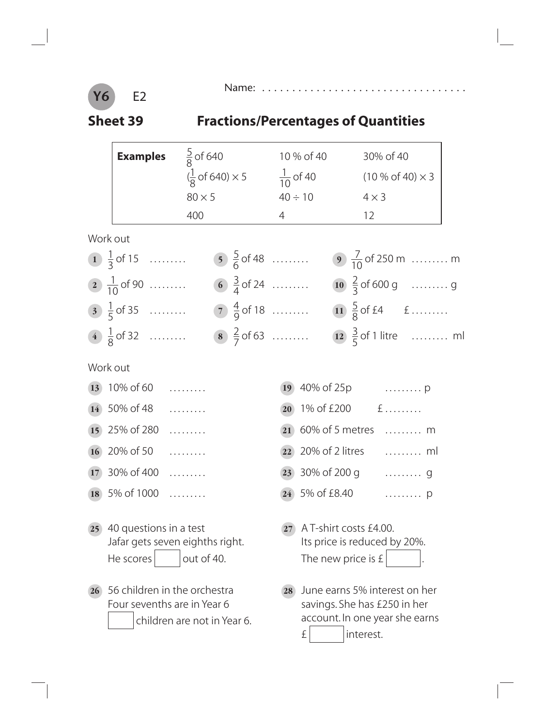

 $\overline{\phantom{a}}$ 

#### Name: . . . . . . . . . . . . . . . . . . . . . . . . . . . . . . . . . .

# **Sheet 39 Fractions/Percentages of Quantities**

|    | <b>Examples</b>                                                        | $\frac{5}{8}$ of 640                                                                  |                 | 10 % of 40                                   | 30% of 40                                                                                                    |                                     |
|----|------------------------------------------------------------------------|---------------------------------------------------------------------------------------|-----------------|----------------------------------------------|--------------------------------------------------------------------------------------------------------------|-------------------------------------|
|    |                                                                        | $(\frac{1}{8} \text{ of } 640) \times 5$ $\frac{1}{10}$ of 40 (10 % of 40) $\times$ 3 |                 |                                              |                                                                                                              |                                     |
|    |                                                                        | $80 \times 5$                                                                         |                 | $40 \div 10$                                 | $4 \times 3$                                                                                                 |                                     |
|    |                                                                        | 400                                                                                   | $4\overline{ }$ |                                              | 12                                                                                                           |                                     |
|    | Work out                                                               |                                                                                       |                 |                                              |                                                                                                              |                                     |
|    | 1 $\frac{1}{3}$ of 15                                                  | $\frac{5}{6}$ of 48                                                                   |                 |                                              |                                                                                                              | <b>9</b> $\frac{7}{10}$ of 250 m  m |
|    | 2 $\frac{1}{10}$ of 90                                                 | 6 $\frac{3}{4}$ of 24                                                                 |                 |                                              |                                                                                                              | 10 $\frac{2}{3}$ of 600 g  g        |
|    | $\frac{1}{5}$ of 35                                                    | $\frac{4}{9}$ of 18                                                                   |                 |                                              | 11 $\frac{5}{8}$ of £4 $f$                                                                                   |                                     |
|    | 4 $\frac{1}{8}$ of 32                                                  | $\binom{8}{7}$ $\frac{2}{7}$ of 63                                                    |                 |                                              |                                                                                                              | 12 $\frac{3}{5}$ of 1 litre  ml     |
|    | Work out                                                               |                                                                                       |                 |                                              |                                                                                                              |                                     |
|    | $\overline{13}$ 10% of 60                                              |                                                                                       | 19              |                                              | 40% of 25p  p                                                                                                |                                     |
|    | $(14)$ 50% of 48                                                       |                                                                                       |                 |                                              | 20 1% of £200 $f$                                                                                            |                                     |
|    | 15 25% of 280                                                          | .                                                                                     | 21              |                                              | 60% of 5 metres  m                                                                                           |                                     |
|    | 16 $20\%$ of 50                                                        |                                                                                       | 22              |                                              | 20% of 2 litres  ml                                                                                          |                                     |
|    | 17 $30\%$ of 400                                                       |                                                                                       |                 |                                              | 23 30% of 200 g  g                                                                                           |                                     |
| 18 | 5% of 1000                                                             |                                                                                       |                 | 5% of £8.40                                  |                                                                                                              | . <b>D</b>                          |
| 25 | 40 questions in a test<br>Jafar gets seven eighths right.<br>He scores | out of 40.                                                                            |                 | A T-shirt costs £4.00.<br>The new price is £ | Its price is reduced by 20%.                                                                                 |                                     |
| 26 | 56 children in the orchestra<br>Four sevenths are in Year 6            | children are not in Year 6.                                                           | 28              | £                                            | June earns 5% interest on her<br>savings. She has £250 in her<br>account. In one year she earns<br>interest. |                                     |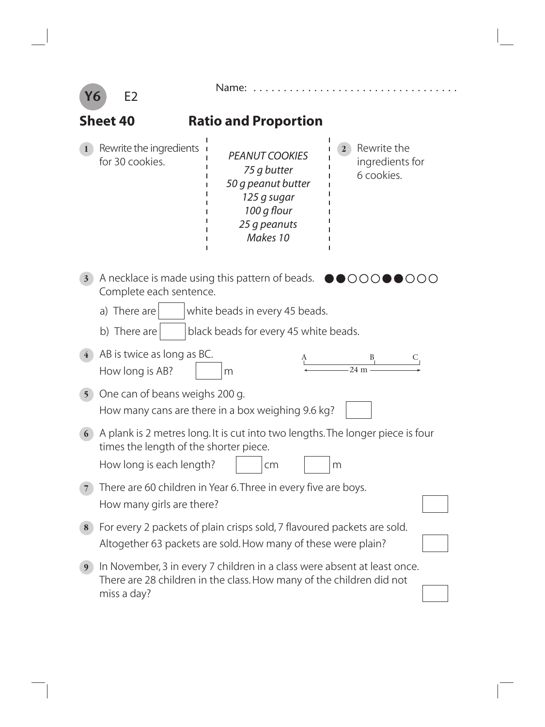| Υ6             | E2                                                                                                                                                              | Name:                                                                                                                                                                  |                                                              |  |  |
|----------------|-----------------------------------------------------------------------------------------------------------------------------------------------------------------|------------------------------------------------------------------------------------------------------------------------------------------------------------------------|--------------------------------------------------------------|--|--|
|                | Sheet 40                                                                                                                                                        | <b>Ratio and Proportion</b>                                                                                                                                            |                                                              |  |  |
|                | Rewrite the ingredients <b>i</b><br>for 30 cookies.                                                                                                             | <b>PEANUT COOKIES</b><br>75 g butter<br>50 g peanut butter<br>125 g sugar<br>100 g flour<br>25 g peanuts<br>Makes 10                                                   | Rewrite the<br>$\mathbf{2}$<br>ingredients for<br>6 cookies. |  |  |
| 3 <sup>1</sup> | Complete each sentence.<br>a) There are<br>b) There are                                                                                                         | A necklace is made using this pattern of beads. $\bullet$ $\bullet$ $\circ$ $\circ$ $\circ$<br>white beads in every 45 beads.<br>black beads for every 45 white beads. |                                                              |  |  |
| $\overline{4}$ | AB is twice as long as BC.<br>How long is AB?                                                                                                                   | m                                                                                                                                                                      | $24 \text{ m}$                                               |  |  |
| 5 <sup>1</sup> | One can of beans weighs 200 g.                                                                                                                                  | How many cans are there in a box weighing 9.6 kg?                                                                                                                      |                                                              |  |  |
| 6              | A plank is 2 metres long. It is cut into two lengths. The longer piece is four<br>times the length of the shorter piece.<br>How long is each length?<br>cm<br>m |                                                                                                                                                                        |                                                              |  |  |
| 7              | There are 60 children in Year 6. Three in every five are boys.<br>How many girls are there?                                                                     |                                                                                                                                                                        |                                                              |  |  |
| 8              | For every 2 packets of plain crisps sold, 7 flavoured packets are sold.<br>Altogether 63 packets are sold. How many of these were plain?                        |                                                                                                                                                                        |                                                              |  |  |
| 9              | miss a day?                                                                                                                                                     | In November, 3 in every 7 children in a class were absent at least once.<br>There are 28 children in the class. How many of the children did not                       |                                                              |  |  |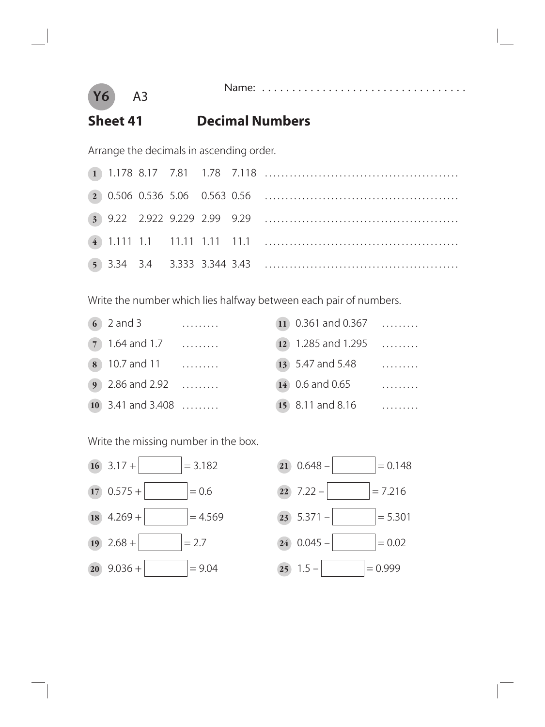

#### Name: . . . . . . . . . . . . . . .

#### **Sheet 41 Decimal Numbers**

Arrange the decimals in ascending order.

Write the number which lies halfway between each pair of numbers.

| $62$ and 3             | .        | $(11)$ 0.361 and 0.367 |   |
|------------------------|----------|------------------------|---|
| $(7)$ 1.64 and 1.7     | $\cdots$ | $(12)$ 1.285 and 1.295 | . |
| $(8)$ 10.7 and 11      |          | 13 5.47 and 5.48       | . |
| <b>9</b> 2.86 and 2.92 |          | 14 0.6 and 0.65        | . |
| $(10)$ 3.41 and 3.408  |          | 15 8.11 and 8.16       |   |

| 11 0.361 and 0.367 |          |
|--------------------|----------|
| 12 1.285 and 1.295 | $\sim$   |
| 13 5.47 and 5.48   | .        |
| 14 0.6 and 0.65    | $\ldots$ |
| $15.811$ and $816$ |          |

Write the missing number in the box.



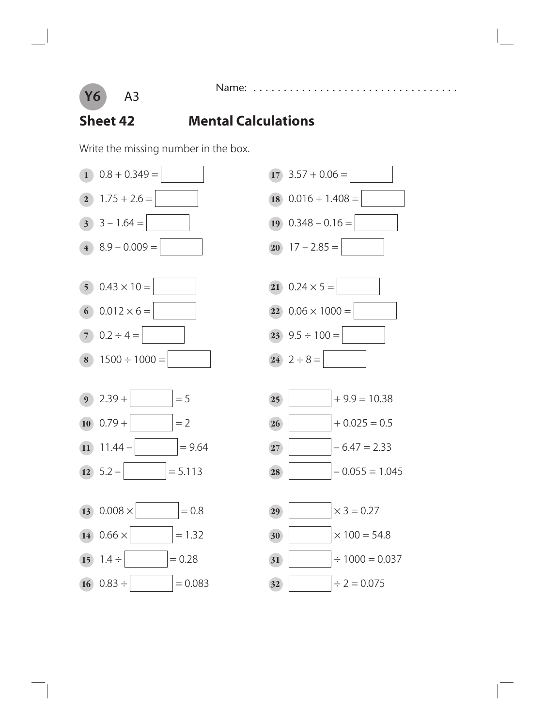

### **Sheet 42 Mental Calculations**

Name: .

Write the missing number in the box.



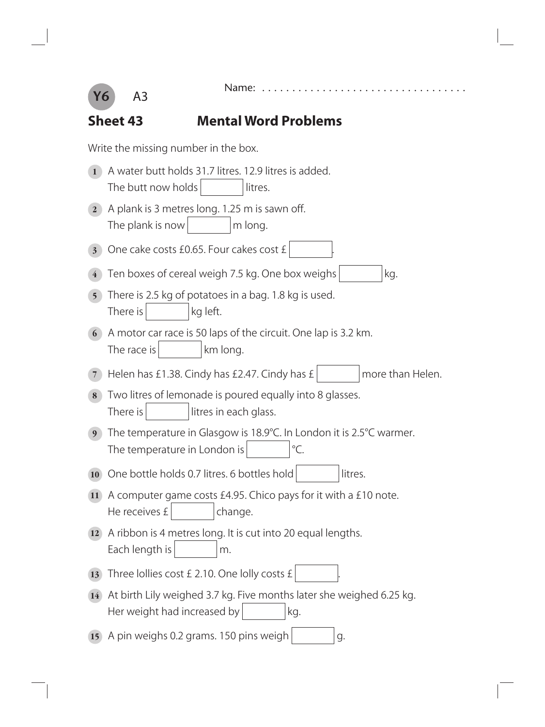

÷,

### **Sheet 43 Mental Word Problems**

Write the missing number in the box.

| $\mathbf{1}$   | A water butt holds 31.7 litres. 12.9 litres is added.<br>The butt now holds<br>litres.                                |
|----------------|-----------------------------------------------------------------------------------------------------------------------|
| $\mathbf{2}$   | A plank is 3 metres long. 1.25 m is sawn off.<br>The plank is now<br>m long.                                          |
| 3 <sup>1</sup> | One cake costs £0.65. Four cakes cost £                                                                               |
|                | Ten boxes of cereal weigh 7.5 kg. One box weighs<br>kg.                                                               |
| 5 <sup>5</sup> | There is 2.5 kg of potatoes in a bag. 1.8 kg is used.<br>There is<br>kg left.                                         |
| 6              | A motor car race is 50 laps of the circuit. One lap is 3.2 km.<br>The race is<br>km long.                             |
| 7              | Helen has £1.38. Cindy has £2.47. Cindy has £<br>more than Helen.                                                     |
| 8              | Two litres of lemonade is poured equally into 8 glasses.<br>There is<br>litres in each glass.                         |
| 9 <sup>°</sup> | The temperature in Glasgow is 18.9°C. In London it is 2.5°C warmer.<br>$\mathrm{C}$ .<br>The temperature in London is |
| <b>10</b>      | One bottle holds 0.7 litres. 6 bottles hold<br>litres.                                                                |
| <b>11</b>      | A computer game costs £4.95. Chico pays for it with a £10 note.<br>He receives £<br>change.                           |
| <b>12</b>      | A ribbon is 4 metres long. It is cut into 20 equal lengths.<br>Each length is<br>m.                                   |
| 13             | Three Iollies cost £ 2.10. One Iolly costs £                                                                          |
| <b>14</b>      | At birth Lily weighed 3.7 kg. Five months later she weighed 6.25 kg.<br>Her weight had increased by<br>kg.            |
| <b>15</b>      | A pin weighs 0.2 grams. 150 pins weigh<br>g.                                                                          |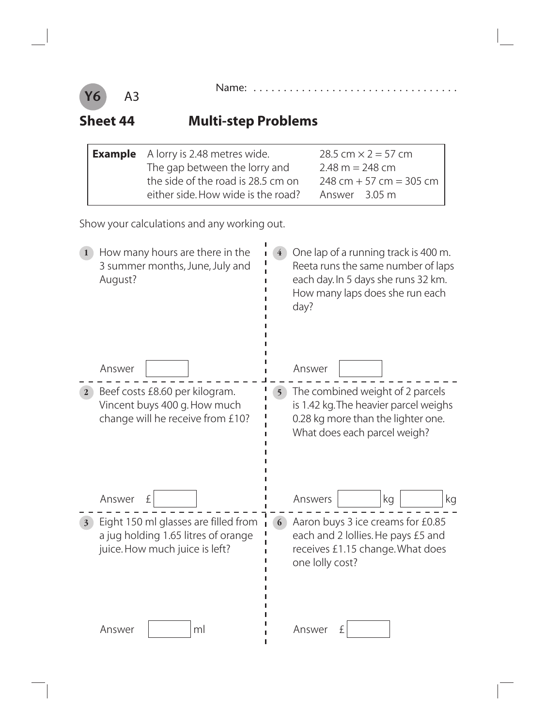

### **Sheet 44 Multi-step Problems**

| <b>Example</b> A lorry is 2.48 metres wide. | 28.5 cm $\times$ 2 = 57 cm |  |
|---------------------------------------------|----------------------------|--|
| The gap between the lorry and               | $2.48 m = 248 cm$          |  |
| the side of the road is 28.5 cm on          | $248$ cm + 57 cm = 305 cm  |  |
| either side. How wide is the road?          | Answer 3.05 m              |  |

Show your calculations and any working out.

| How many hours are there in the<br>3 summer months, June, July and<br>August?                                                | One lap of a running track is 400 m.<br>$\overline{4}$<br>Reeta runs the same number of laps<br>each day. In 5 days she runs 32 km.<br>How many laps does she run each<br>day? |
|------------------------------------------------------------------------------------------------------------------------------|--------------------------------------------------------------------------------------------------------------------------------------------------------------------------------|
| Answer                                                                                                                       | Answer                                                                                                                                                                         |
| Beef costs £8.60 per kilogram.<br>2 <sup>1</sup><br>Vincent buys 400 g. How much<br>change will he receive from £10?         | The combined weight of 2 parcels<br>5 <sup>1</sup><br>is 1.42 kg. The heavier parcel weighs<br>0.28 kg more than the lighter one.<br>What does each parcel weigh?              |
| Answer<br>£                                                                                                                  | Answers<br>kg<br>kg                                                                                                                                                            |
| Eight 150 ml glasses are filled from<br>$3^{\circ}$<br>a jug holding 1.65 litres of orange<br>juice. How much juice is left? | Aaron buys 3 ice creams for £0.85<br>6<br>each and 2 lollies. He pays £5 and<br>receives £1.15 change. What does<br>one lolly cost?                                            |
| Answer<br>ml                                                                                                                 | Answer<br>£                                                                                                                                                                    |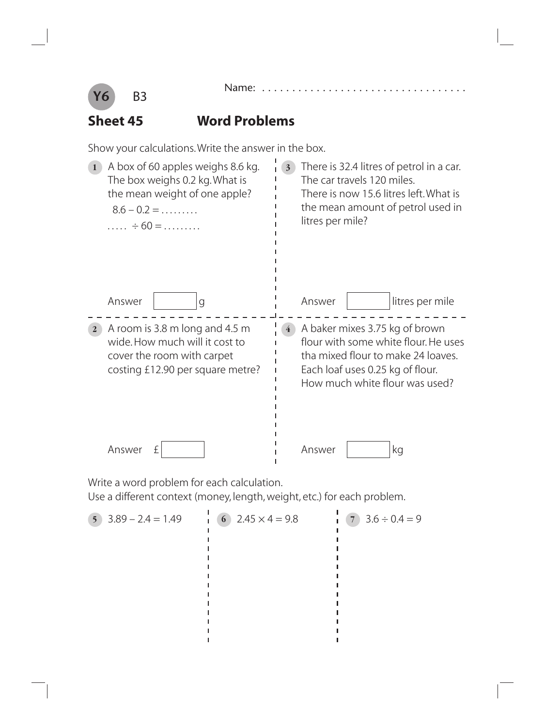

### **Sheet 45 Word Problems**

Show your calculations. Write the answer in the box.

| A box of 60 apples weighs 8.6 kg.<br>The box weighs 0.2 kg. What is<br>the mean weight of one apple?<br>$8.6 - 0.2 = \dots \dots$<br>$\dots$ $\div$ 60 = $\dots$ | There is 32.4 litres of petrol in a car.<br>3 <sup>1</sup><br>The car travels 120 miles.<br>There is now 15.6 litres left. What is<br>the mean amount of petrol used in<br>litres per mile?          |  |  |  |
|------------------------------------------------------------------------------------------------------------------------------------------------------------------|------------------------------------------------------------------------------------------------------------------------------------------------------------------------------------------------------|--|--|--|
| Answer                                                                                                                                                           | litres per mile                                                                                                                                                                                      |  |  |  |
| g                                                                                                                                                                | Answer                                                                                                                                                                                               |  |  |  |
| A room is 3.8 m long and 4.5 m<br>$\mathbf{2}$<br>wide. How much will it cost to<br>cover the room with carpet<br>costing £12.90 per square metre?               | A baker mixes 3.75 kg of brown<br>$\overline{4}$<br>flour with some white flour. He uses<br>tha mixed flour to make 24 loaves.<br>Each loaf uses 0.25 kg of flour.<br>How much white flour was used? |  |  |  |
| Answer                                                                                                                                                           | Answer                                                                                                                                                                                               |  |  |  |
| £                                                                                                                                                                | kg                                                                                                                                                                                                   |  |  |  |

Write a word problem for each calculation.

Use a different context (money, length, weight, etc.) for each problem.

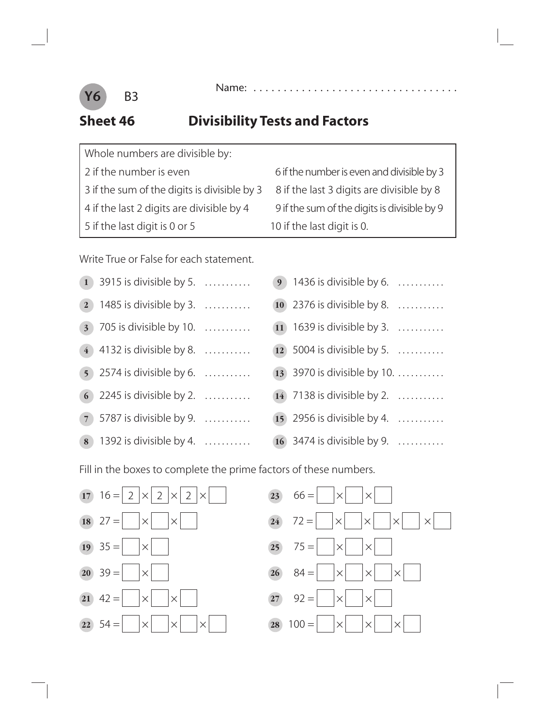

#### **Sheet 46 Divisibility Tests and Factors**

| Whole numbers are divisible by:              |
|----------------------------------------------|
| 2 if the number is even                      |
| 3 if the sum of the digits is divisible by 3 |
| 4 if the last 2 digits are divisible by 4    |
| 5 if the last digit is 0 or 5                |

 6 if the number is even and divisible by 3 8 if the last 3 digits are divisible by 8 9 if the sum of the digits is divisible by 9 10 if the last digit is 0.

Write True or False for each statement.

|              | $1$ 3915 is divisible by 5.              |  |
|--------------|------------------------------------------|--|
| $\mathbf{2}$ | 1485 is divisible by 3. $\dots$          |  |
|              | $\left(3\right)$ 705 is divisible by 10. |  |
|              | $(4)$ 4132 is divisible by 8.            |  |
|              | 5 2574 is divisible by 6. $\ldots$       |  |
|              | 6 2245 is divisible by 2. $\ldots$       |  |
|              | $(7)$ 5787 is divisible by 9.            |  |
|              | 8 1392 is divisible by 4. $\ldots$       |  |

| <b>9</b> 1436 is divisible by 6. $\ldots$<br>10 2376 is divisible by 8. $\ldots$<br>11) 1639 is divisible by 3. $\ldots$<br>$(12)$ 5004 is divisible by 5.<br>13 3970 is divisible by 10.<br>$(14)$ 7138 is divisible by 2.<br>15 2956 is divisible by 4. $\ldots$ |
|--------------------------------------------------------------------------------------------------------------------------------------------------------------------------------------------------------------------------------------------------------------------|

Fill in the boxes to complete the prime factors of these numbers.

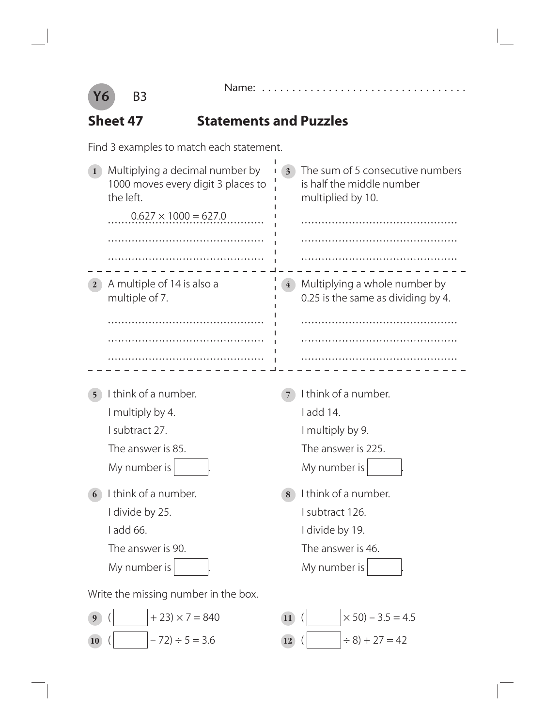



#### **Sheet 47 Statements and Puzzles**

Find 3 examples to match each statement.

| Multiplying a decimal number by<br>1000 moves every digit 3 places to<br>the left.<br>$0.627 \times 1000 = 627.0$ | The sum of 5 consecutive numbers<br>$3^{\circ}$<br>is half the middle number<br>multiplied by 10. |
|-------------------------------------------------------------------------------------------------------------------|---------------------------------------------------------------------------------------------------|
| A multiple of 14 is also a<br>$\mathbf{2}$<br>multiple of 7.                                                      | Multiplying a whole number by<br>0.25 is the same as dividing by 4.                               |
|                                                                                                                   |                                                                                                   |
|                                                                                                                   |                                                                                                   |
|                                                                                                                   |                                                                                                   |
| I think of a number.                                                                                              | I think of a number.                                                                              |
| I multiply by 4.                                                                                                  | I add 14.                                                                                         |
| I subtract 27.                                                                                                    | I multiply by 9.                                                                                  |
| The answer is 85.                                                                                                 | The answer is 225.                                                                                |
| My number is                                                                                                      | My number is                                                                                      |
| I think of a number.<br>6                                                                                         | I think of a number.<br>8                                                                         |
| I divide by 25.                                                                                                   | I subtract 126.                                                                                   |
| l add 66.                                                                                                         | I divide by 19.                                                                                   |
| The answer is 90.                                                                                                 | The answer is 46.                                                                                 |
| My number is                                                                                                      | My number is                                                                                      |
| Write the missing number in the box.                                                                              |                                                                                                   |
| $+23 \times 7 = 840$<br>9                                                                                         | $\times$ 50) – 3.5 = 4.5<br><b>11</b>                                                             |
| $-72$ ) ÷ 5 = 3.6<br><b>10</b>                                                                                    | $\div 8$ ) + 27 = 42<br>12)                                                                       |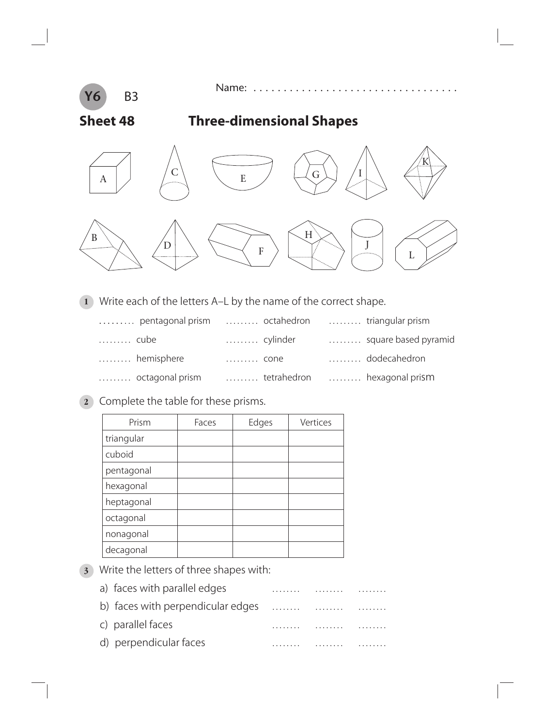

Name: . . . . . . . . . . . . . . . . . . . . . . . . . . . . . . . . . .

#### **Sheet 48 Three-dimensional Shapes**



**1** Write each of the letters A–L by the name of the correct shape.

|      | pentagonal prism  octahedron |      |          | triangular prism             |
|------|------------------------------|------|----------|------------------------------|
| cube |                              |      | cylinder | square based pyramid         |
|      | hemisphere                   | cone |          | dodecahedron                 |
|      | octagonal prism              |      |          | tetrahedron  hexagonal prism |

**2** Complete the table for these prisms.

| Prism      | Faces | Edges | Vertices |
|------------|-------|-------|----------|
| triangular |       |       |          |
| cuboid     |       |       |          |
| pentagonal |       |       |          |
| hexagonal  |       |       |          |
| heptagonal |       |       |          |
| octagonal  |       |       |          |
| nonagonal  |       |       |          |
| decagonal  |       |       |          |

**3** Write the letters of three shapes with:

| a) faces with parallel edges      | . | . | . |
|-----------------------------------|---|---|---|
| b) faces with perpendicular edges |   | . |   |
| c) parallel faces                 | . |   |   |
| d) perpendicular faces            |   |   |   |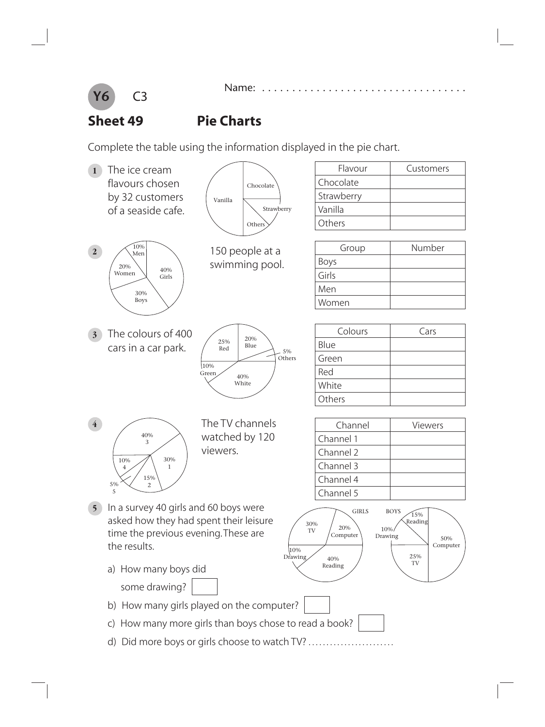

#### **Sheet 49 Pie Charts**

Complete the table using the information displayed in the pie chart.

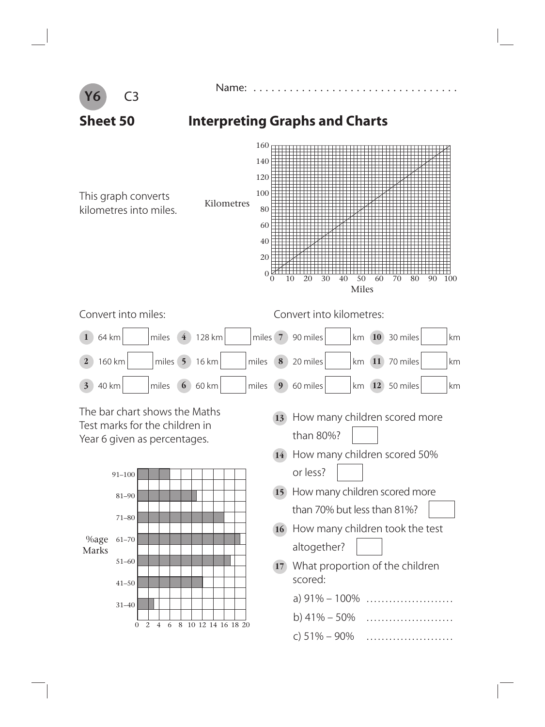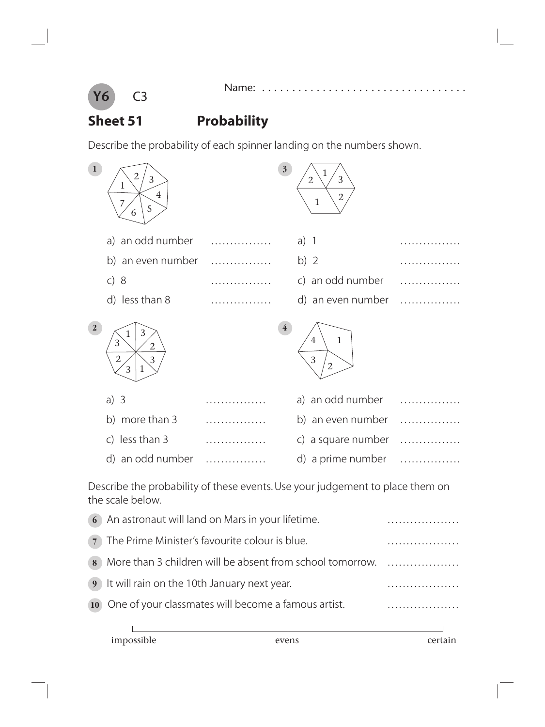

# **Sheet 51 Probability**

Describe the probability of each spinner landing on the numbers shown.

| $\mathbf{1}$   | 2<br>3<br>1<br>$\overline{4}$<br>7<br>5<br>6 | $\overline{\mathbf{3}}$ | 3<br>$\overline{2}$<br>$\overline{2}$<br>$\mathbf 1$  |  |
|----------------|----------------------------------------------|-------------------------|-------------------------------------------------------|--|
|                | a) an odd number                             |                         | $a)$ 1                                                |  |
|                | b) an even number                            |                         | b) $2$                                                |  |
|                | c) 8                                         |                         | c) an odd number                                      |  |
|                | d) less than 8                               |                         | d) an even number                                     |  |
| $\overline{2}$ | 3<br>3<br>2<br>$\mathbf{2}$<br>3<br>3        | $\overline{\mathbf{4}}$ | $\mathbf{1}$<br>$\overline{4}$<br>3<br>$\overline{2}$ |  |
|                | a) $3$                                       |                         | a) an odd number                                      |  |
|                | b) more than 3                               |                         | b) an even number                                     |  |
|                | less than 3<br>$\mathsf{C}$                  |                         | a square number<br>C)                                 |  |
|                | d) an odd number                             |                         | d) a prime number                                     |  |

Describe the probability of these events. Use your judgement to place them on the scale below.

|   | impossible                                       |                                                           |   |
|---|--------------------------------------------------|-----------------------------------------------------------|---|
|   |                                                  |                                                           |   |
|   |                                                  | 10 One of your classmates will become a famous artist.    |   |
|   | 9 It will rain on the 10th January next year.    |                                                           |   |
| 8 |                                                  | More than 3 children will be absent from school tomorrow. | . |
|   | 7 The Prime Minister's favourite colour is blue. |                                                           |   |
|   |                                                  | 6 An astronaut will land on Mars in your lifetime.        |   |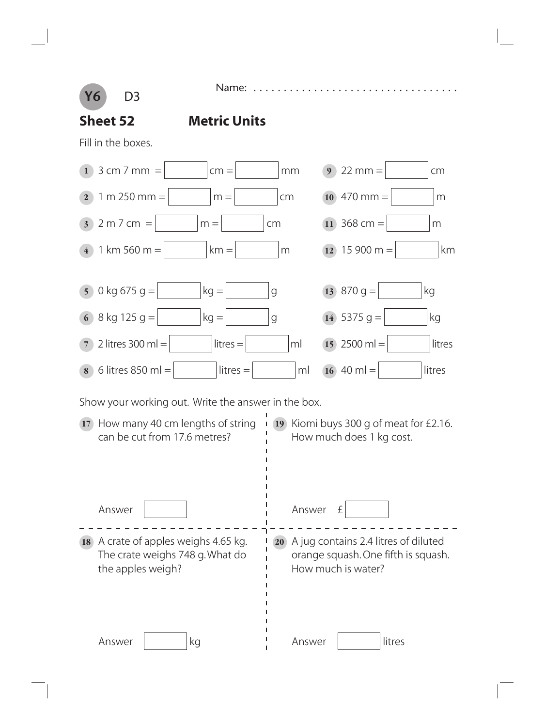**Y6** D3

**Sheet 52 Metric Units**

Name: . .

Fill in the boxes.

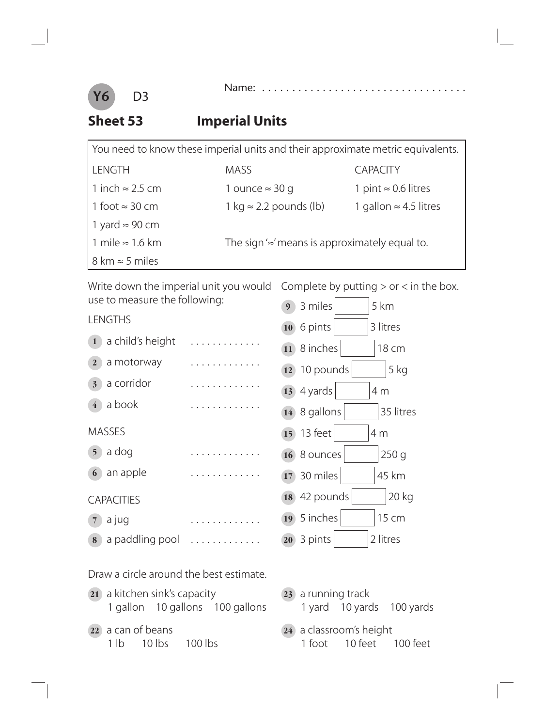

#### **Sheet 53 Imperial Units**

| You need to know these imperial units and their approximate metric equivalents. |                                                     |                               |  |
|---------------------------------------------------------------------------------|-----------------------------------------------------|-------------------------------|--|
| LENGTH                                                                          | <b>MASS</b>                                         | <b>CAPACITY</b>               |  |
| 1 inch ≈ 2.5 cm                                                                 | 1 ounce $\approx$ 30 g                              | 1 pint $\approx$ 0.6 litres   |  |
| 1 foot $\approx$ 30 cm                                                          | 1 kg $\approx$ 2.2 pounds (lb)                      | 1 gallon $\approx$ 4.5 litres |  |
| 1 yard $\approx$ 90 cm                                                          |                                                     |                               |  |
| 1 mile $\approx$ 1.6 km                                                         | The sign $\approx$ means is approximately equal to. |                               |  |
| $8 \text{ km} \approx 5 \text{ miles}$                                          |                                                     |                               |  |

| Write down the imperial unit you would  | Complete by putting $>$ or $<$ in the box. |  |
|-----------------------------------------|--------------------------------------------|--|
| use to measure the following:           | 3 miles<br>5 km<br>9                       |  |
| <b>LENGTHS</b>                          | 6 pints<br>3 litres<br>10                  |  |
| a child's height<br>1                   | 8 inches<br>18 cm<br>11                    |  |
| a motorway<br>$\overline{2}$            | 10 pounds<br>5 kg<br>12                    |  |
| a corridor<br>3 <sup>2</sup>            | 4 yards<br>4 m<br>13                       |  |
| a book                                  | 35 litres<br>8 gallons<br>14               |  |
| <b>MASSES</b>                           | 13 feet<br>15<br>4 <sub>m</sub>            |  |
| a dog<br>5 <sup>5</sup>                 | 250q<br>8 ounces<br>16                     |  |
| an apple<br>6                           | 45 km<br>30 miles<br>17                    |  |
| <b>CAPACITIES</b>                       | 20 kg<br>42 pounds<br>18                   |  |
| a jug<br>$\overline{7}$                 | 5 inches<br>15 cm<br>19                    |  |
| a paddling pool<br>8                    | 2 litres<br>3 pints<br>20                  |  |
| Draw a circle around the best estimate. |                                            |  |

- **21** a kitchen sink's capacity 1 gallon 10 gallons 100 gallons
- **22** a can of beans 1 lb 10 lbs 100 lbs
- **23** a running track 1 yard 10 yards 100 yards
- **24** a classroom's height 1 foot 10 feet 100 feet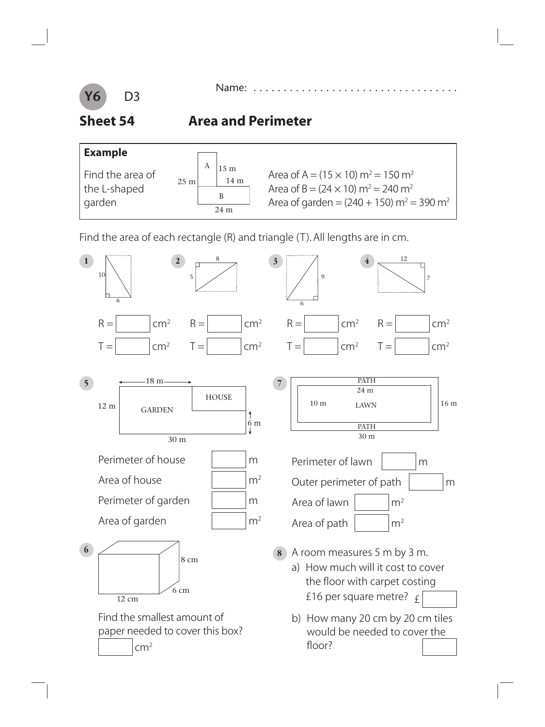

Name: . . . . . . . . . . .

#### **Sheet 54 Area and Perimeter**



Find the area of each rectangle (R) and triangle (T). All lengths are in cm.

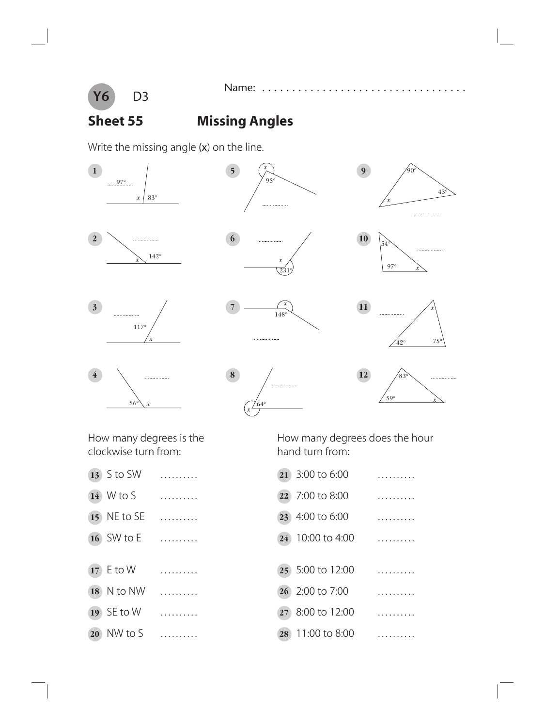

Name: . . . . . . . . . . . .

### **Sheet 55 Missing Angles**

Write the missing angle (x) on the line.



clockwise turn from: hand turn from:

- 
- 
- 
- 
- 
- 
- 
- 

How many degrees is the How many degrees does the hour

 S to SW . . . . . . . . . . **21** 3:00 to 6:00 .......... W to S . . . . . . . . . . **22** 7:00 to 8:00 .......... NE to SE . . . . . . . . . . **23** 4:00 to 6:00 .......... SW to E . . . . . . . . . . **24** 10:00 to 4:00 .......... E to W . . . . . . . . . . **25** 5:00 to 12:00 .......... N to NW . . . . . . . . . . **26** 2:00 to 7:00 .......... SE to W . . . . . . . . . . **27** 8:00 to 12:00 .......... NW to S . . . . . . . . . . **28** 11:00 to 8:00 ..........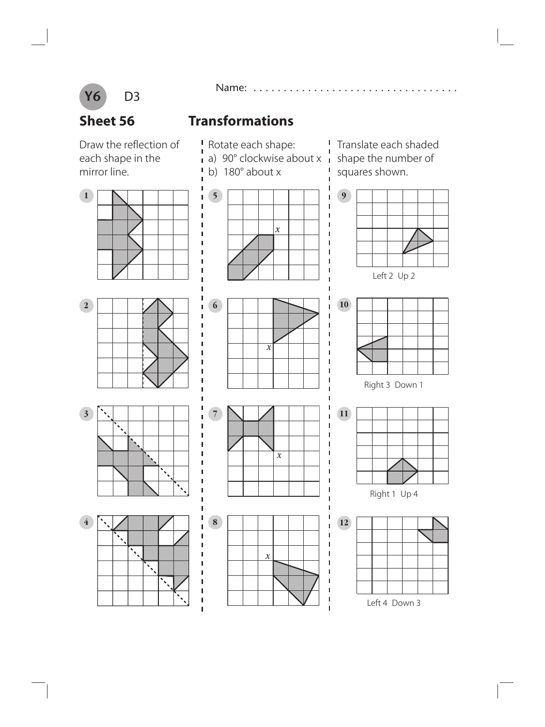

Name: . . . . . . . . . . . . . . . . . . . . . . . . . . . . . . . . . .

**Sheet 56 Transformations**

Draw the reflection of each shape in the mirror line.







 $\mathbf{I}$ 



 $\overline{1}$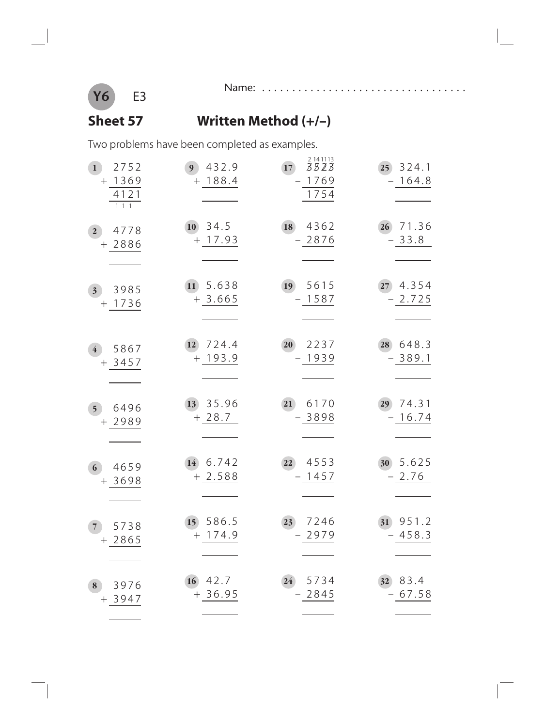

-

#### Name: . . . . . . . . . . . . . . . . . . . . . . . . . . . . . . . . . .

#### **Sheet 57 Written Method (+/–)**

Two problems have been completed as examples.

| 2752<br>$\mathbf{1}$<br>$+ 1369$<br>4121<br>$1\overline{1}$ | 432.9<br>9 <sup>°</sup><br>$+ 188.4$ | 2 14 11 13<br>3523<br>17<br>1769<br>1754 | 324.1<br>25 <sup>°</sup><br>$-164.8$ |
|-------------------------------------------------------------|--------------------------------------|------------------------------------------|--------------------------------------|
| 4778<br>2 <sub>1</sub><br>$+2886$                           | 34.5<br><b>10</b><br>17.93<br>$+$    | 4362<br>18<br>$-2876$                    | 71.36<br>26<br>$-33.8$               |
| 3985<br>3 <sup>1</sup><br>1736<br>$^{+}$                    | 5.638<br>11)<br>$+3.665$             | 5615<br>19<br>$-1587$                    | 4.354<br>27 <sup>°</sup><br>$-2.725$ |
| 5867<br>$\overline{4}$<br>$+3457$                           | 724.4<br>12<br>$+ 193.9$             | 2237<br>20<br>1939<br>$\qquad \qquad -$  | 648.3<br>28<br>$-389.1$              |
| 6496<br>5 <sup>5</sup><br>2989<br>$+$                       | 35.96<br>13<br>$+28.7$               | 21<br>6170<br>$-3898$                    | 74.31<br>29<br>$-16.74$              |
| 4659<br>6<br>$+3698$                                        | 6.742<br>14)<br>2.588<br>$+$         | 4553<br>22<br>1457                       | 5.625<br>30<br>2.76                  |
| 5738<br>$\overline{7}$<br>$+2865$                           | 15 586.5<br>$+ 174.9$                | 7246<br>23<br>$-2979$                    | 31 951.2<br>$-458.3$                 |
| 3976<br>8<br>$+3947$                                        | 42.7<br>16<br>$+36.95$               | 5734<br>24)<br>$-2845$                   | 83.4<br>32 <sup>°</sup><br>$-67.58$  |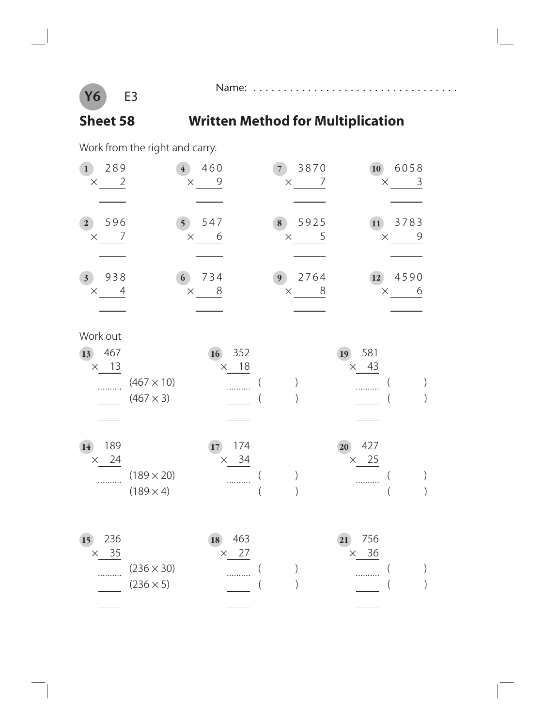

# **Sheet 58 Written Method for Multiplication**

Name: . . . . . . . . . . . . . . . . . . . . . . . . . . . . . . . . . .

Work from the right and carry.

| 289<br>1 <sup>1</sup><br>$\overline{2}$<br>$\times$ | $\overline{4}$                        | 460<br>9<br>$\times$        | 3870<br>7 <sup>1</sup><br>$\times$ | 10<br>7                     | 6058<br>3<br>$\times$ |
|-----------------------------------------------------|---------------------------------------|-----------------------------|------------------------------------|-----------------------------|-----------------------|
| 596<br>$\mathbf{2}^-$<br>7<br>$\times$              | 5 <sup>1</sup>                        | 547<br>6<br>$\times$        | 8<br>5925<br>$\times$              | 11<br>5                     | 3783<br>9<br>$\times$ |
| 938<br>3 <sup>1</sup><br>4<br>$\times$              | 6 <sup>1</sup>                        | 734<br>8<br>$\times$        | 2764<br>9 <sup>1</sup><br>$\times$ | 12<br>8<br>$\times$         | 4590<br>6             |
| Work out<br>467<br>13<br>$\times$ 13                | $(467 \times 10)$<br>$(467 \times 3)$ | 16<br>352<br>$\times$ 18    |                                    | 581<br>19<br>$\times$ 43    |                       |
| 189<br>14<br>$\times$ 24                            | $(189 \times 20)$<br>$(189 \times 4)$ | 174<br>17<br>$\times$ 34    |                                    | 427<br>20<br>$\times$ 25    |                       |
| 236<br>15<br>35<br>$\times$                         | $(236 \times 30)$<br>$(236 \times 5)$ | 463<br>18<br>27<br>$\times$ |                                    | 756<br>21<br>36<br>$\times$ |                       |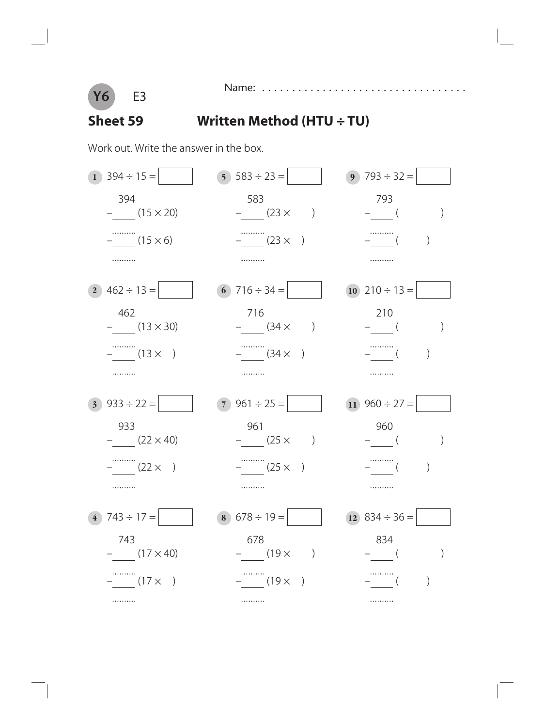

Name: . . . . . . . . . . . . . . . . . . . . . . . . . . . . . . . . . .

#### **Sheet 59 Written Method (HTU ÷ TU)**

Work out. Write the answer in the box.